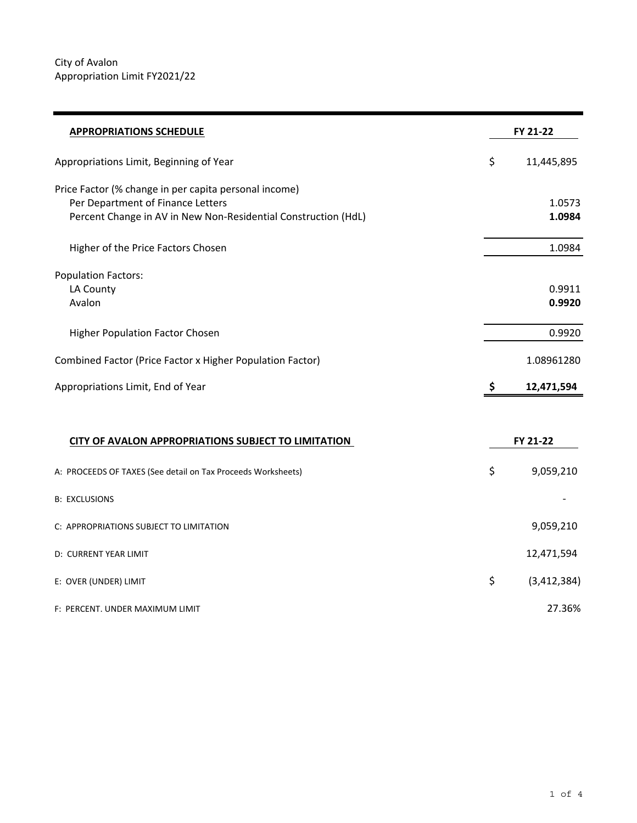| <b>APPROPRIATIONS SCHEDULE</b>                                 |    | FY 21-22      |  |
|----------------------------------------------------------------|----|---------------|--|
| Appropriations Limit, Beginning of Year                        | \$ | 11,445,895    |  |
| Price Factor (% change in per capita personal income)          |    |               |  |
| Per Department of Finance Letters                              |    | 1.0573        |  |
| Percent Change in AV in New Non-Residential Construction (HdL) |    | 1.0984        |  |
| Higher of the Price Factors Chosen                             |    | 1.0984        |  |
| <b>Population Factors:</b>                                     |    |               |  |
| LA County                                                      |    | 0.9911        |  |
| Avalon                                                         |    | 0.9920        |  |
| Higher Population Factor Chosen                                |    | 0.9920        |  |
| Combined Factor (Price Factor x Higher Population Factor)      |    | 1.08961280    |  |
| Appropriations Limit, End of Year                              | \$ | 12,471,594    |  |
|                                                                |    |               |  |
| CITY OF AVALON APPROPRIATIONS SUBJECT TO LIMITATION            |    | FY 21-22      |  |
| A: PROCEEDS OF TAXES (See detail on Tax Proceeds Worksheets)   | \$ | 9,059,210     |  |
| <b>B: EXCLUSIONS</b>                                           |    |               |  |
| C: APPROPRIATIONS SUBJECT TO LIMITATION                        |    | 9,059,210     |  |
| D: CURRENT YEAR LIMIT                                          |    | 12,471,594    |  |
| E: OVER (UNDER) LIMIT                                          | \$ | (3, 412, 384) |  |
| F: PERCENT. UNDER MAXIMUM LIMIT                                |    | 27.36%        |  |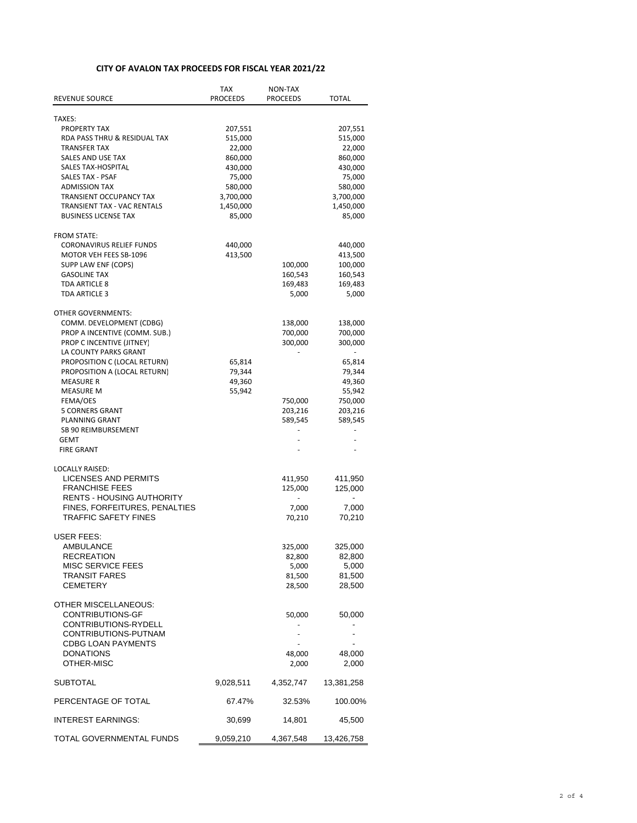## **CITY OF AVALON TAX PROCEEDS FOR FISCAL YEAR 2021/22**

| REVENUE SOURCE                                        | TAX<br><b>PROCEEDS</b> | NON-TAX<br><b>PROCEEDS</b> | TOTAL              |
|-------------------------------------------------------|------------------------|----------------------------|--------------------|
|                                                       |                        |                            |                    |
| TAXES:                                                |                        |                            |                    |
| PROPERTY TAX<br>RDA PASS THRU & RESIDUAL TAX          | 207,551<br>515,000     |                            | 207,551<br>515,000 |
| <b>TRANSFER TAX</b>                                   | 22,000                 |                            | 22,000             |
| <b>SALES AND USE TAX</b>                              | 860,000                |                            | 860,000            |
| SALES TAX-HOSPITAL                                    | 430,000                |                            | 430,000            |
| <b>SALES TAX - PSAF</b>                               | 75,000                 |                            | 75,000             |
| <b>ADMISSION TAX</b>                                  | 580,000                |                            | 580,000            |
| <b>TRANSIENT OCCUPANCY TAX</b>                        | 3,700,000              |                            | 3,700,000          |
| TRANSIENT TAX - VAC RENTALS                           | 1,450,000              |                            | 1,450,000          |
| <b>BUSINESS LICENSE TAX</b>                           | 85,000                 |                            | 85,000             |
| <b>FROM STATE:</b>                                    |                        |                            |                    |
| <b>CORONAVIRUS RELIEF FUNDS</b>                       | 440,000                |                            | 440,000            |
| MOTOR VEH FEES SB-1096                                | 413,500                |                            | 413,500            |
| SUPP LAW ENF (COPS)                                   |                        | 100,000                    | 100,000            |
| <b>GASOLINE TAX</b>                                   |                        | 160,543                    | 160,543            |
| TDA ARTICLE 8                                         |                        | 169,483                    | 169,483            |
| TDA ARTICLE 3                                         |                        | 5,000                      | 5,000              |
| <b>OTHER GOVERNMENTS:</b>                             |                        |                            |                    |
| COMM. DEVELOPMENT (CDBG)                              |                        | 138,000                    | 138,000            |
| PROP A INCENTIVE (COMM. SUB.)                         |                        | 700,000                    | 700,000            |
| PROP C INCENTIVE (JITNEY)                             |                        | 300,000                    | 300,000            |
| LA COUNTY PARKS GRANT<br>PROPOSITION C (LOCAL RETURN) |                        |                            |                    |
| PROPOSITION A (LOCAL RETURN)                          | 65,814<br>79,344       |                            | 65,814<br>79,344   |
| <b>MEASURE R</b>                                      | 49,360                 |                            | 49,360             |
| <b>MEASURE M</b>                                      | 55,942                 |                            | 55,942             |
| FEMA/OES                                              |                        | 750,000                    | 750,000            |
| 5 CORNERS GRANT                                       |                        | 203,216                    | 203,216            |
| PLANNING GRANT                                        |                        | 589,545                    | 589,545            |
| SB 90 REIMBURSEMENT                                   |                        |                            |                    |
| GEMT                                                  |                        |                            |                    |
| <b>FIRE GRANT</b>                                     |                        |                            |                    |
| <b>LOCALLY RAISED:</b>                                |                        |                            |                    |
| LICENSES AND PERMITS                                  |                        | 411,950                    | 411,950            |
| <b>FRANCHISE FEES</b>                                 |                        | 125,000                    | 125,000            |
| <b>RENTS - HOUSING AUTHORITY</b>                      |                        |                            | Ξ.                 |
| FINES, FORFEITURES, PENALTIES                         |                        | 7,000                      | 7,000              |
| <b>TRAFFIC SAFETY FINES</b>                           |                        | 70,210                     | 70,210             |
| USER FEES:                                            |                        |                            |                    |
| AMBULANCE                                             |                        | 325,000                    | 325,000            |
| RECREATION                                            |                        | 82,800                     | 82,800             |
| <b>MISC SERVICE FEES</b>                              |                        | 5,000                      | 5,000              |
| TRANSIT FARES                                         |                        | 81,500                     | 81,500             |
| CEMETERY                                              |                        | 28,500                     | 28,500             |
| OTHER MISCELLANEOUS:                                  |                        |                            |                    |
| <b>CONTRIBUTIONS-GF</b>                               |                        | 50,000                     | 50,000             |
| CONTRIBUTIONS-RYDELL                                  |                        |                            |                    |
| CONTRIBUTIONS-PUTNAM                                  |                        |                            | -                  |
| <b>CDBG LOAN PAYMENTS</b>                             |                        |                            |                    |
| <b>DONATIONS</b><br>OTHER-MISC                        |                        | 48,000                     | 48,000<br>2,000    |
|                                                       |                        | 2,000                      |                    |
| SUBTOTAL                                              | 9,028,511              | 4,352,747                  | 13,381,258         |
| PERCENTAGE OF TOTAL                                   | 67.47%                 | 32.53%                     | 100.00%            |
| <b>INTEREST EARNINGS:</b>                             | 30,699                 | 14,801                     | 45,500             |
| TOTAL GOVERNMENTAL FUNDS                              | 9,059,210              | 4,367,548                  | 13,426,758         |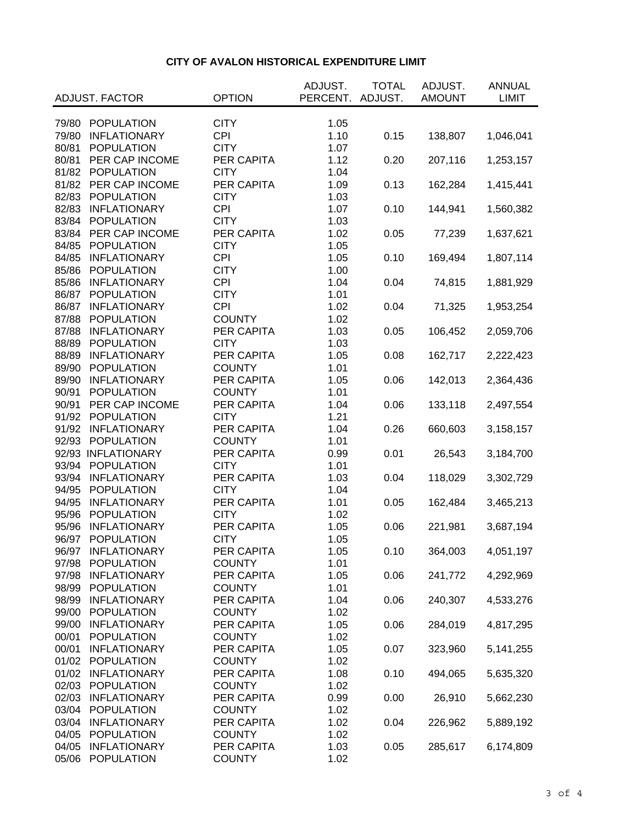## **CITY OF AVALON HISTORICAL EXPENDITURE LIMIT**

|       |                       |               | ADJUST.  | <b>TOTAL</b> | ADJUST.       | <b>ANNUAL</b> |
|-------|-----------------------|---------------|----------|--------------|---------------|---------------|
|       | <b>ADJUST. FACTOR</b> | <b>OPTION</b> | PERCENT. | ADJUST.      | <b>AMOUNT</b> | <b>LIMIT</b>  |
|       |                       |               |          |              |               |               |
| 79/80 | POPULATION            | <b>CITY</b>   | 1.05     |              |               |               |
| 79/80 | <b>INFLATIONARY</b>   | <b>CPI</b>    | 1.10     | 0.15         | 138,807       | 1,046,041     |
| 80/81 | <b>POPULATION</b>     | <b>CITY</b>   | 1.07     |              |               |               |
| 80/81 | PER CAP INCOME        | PER CAPITA    | 1.12     | 0.20         | 207,116       | 1,253,157     |
| 81/82 | <b>POPULATION</b>     | <b>CITY</b>   | 1.04     |              |               |               |
| 81/82 | PER CAP INCOME        | PER CAPITA    | 1.09     | 0.13         | 162,284       | 1,415,441     |
| 82/83 | <b>POPULATION</b>     | <b>CITY</b>   | 1.03     |              |               |               |
| 82/83 | <b>INFLATIONARY</b>   | <b>CPI</b>    | 1.07     | 0.10         | 144,941       | 1,560,382     |
| 83/84 | <b>POPULATION</b>     | <b>CITY</b>   | 1.03     |              |               |               |
| 83/84 | PER CAP INCOME        | PER CAPITA    | 1.02     | 0.05         | 77,239        | 1,637,621     |
| 84/85 | <b>POPULATION</b>     | <b>CITY</b>   | 1.05     |              |               |               |
| 84/85 | <b>INFLATIONARY</b>   | <b>CPI</b>    | 1.05     | 0.10         | 169,494       | 1,807,114     |
| 85/86 | <b>POPULATION</b>     | <b>CITY</b>   | 1.00     |              |               |               |
| 85/86 | <b>INFLATIONARY</b>   | <b>CPI</b>    | 1.04     | 0.04         | 74,815        | 1,881,929     |
| 86/87 | <b>POPULATION</b>     | <b>CITY</b>   | 1.01     |              |               |               |
| 86/87 | <b>INFLATIONARY</b>   | <b>CPI</b>    | 1.02     | 0.04         | 71,325        | 1,953,254     |
| 87/88 | <b>POPULATION</b>     | <b>COUNTY</b> | 1.02     |              |               |               |
| 87/88 | <b>INFLATIONARY</b>   | PER CAPITA    | 1.03     | 0.05         | 106,452       | 2,059,706     |
| 88/89 | <b>POPULATION</b>     | <b>CITY</b>   | 1.03     |              |               |               |
| 88/89 | <b>INFLATIONARY</b>   | PER CAPITA    | 1.05     | 0.08         | 162,717       | 2,222,423     |
| 89/90 | <b>POPULATION</b>     | <b>COUNTY</b> | 1.01     |              |               |               |
| 89/90 | <b>INFLATIONARY</b>   | PER CAPITA    | 1.05     | 0.06         | 142,013       | 2,364,436     |
| 90/91 | <b>POPULATION</b>     | <b>COUNTY</b> | 1.01     |              |               |               |
| 90/91 | PER CAP INCOME        | PER CAPITA    | 1.04     | 0.06         | 133,118       | 2,497,554     |
| 91/92 | <b>POPULATION</b>     | <b>CITY</b>   | 1.21     |              |               |               |
| 91/92 | <b>INFLATIONARY</b>   | PER CAPITA    | 1.04     | 0.26         | 660,603       | 3,158,157     |
| 92/93 | <b>POPULATION</b>     | <b>COUNTY</b> | 1.01     |              |               |               |
|       | 92/93 INFLATIONARY    | PER CAPITA    | 0.99     | 0.01         | 26,543        | 3,184,700     |
| 93/94 | <b>POPULATION</b>     | <b>CITY</b>   | 1.01     |              |               |               |
| 93/94 | <b>INFLATIONARY</b>   | PER CAPITA    | 1.03     | 0.04         | 118,029       | 3,302,729     |
| 94/95 | <b>POPULATION</b>     | <b>CITY</b>   | 1.04     |              |               |               |
| 94/95 | <b>INFLATIONARY</b>   | PER CAPITA    | 1.01     | 0.05         | 162,484       | 3,465,213     |
| 95/96 | <b>POPULATION</b>     | <b>CITY</b>   | 1.02     |              |               |               |
| 95/96 | <b>INFLATIONARY</b>   | PER CAPITA    | 1.05     | 0.06         | 221,981       | 3,687,194     |
| 96/97 | <b>POPULATION</b>     | <b>CITY</b>   | 1.05     |              |               |               |
| 96/97 | <b>INFLATIONARY</b>   | PER CAPITA    | 1.05     | 0.10         | 364,003       | 4,051,197     |
| 97/98 | <b>POPULATION</b>     | <b>COUNTY</b> | 1.01     |              |               |               |
| 97/98 | <b>INFLATIONARY</b>   | PER CAPITA    | 1.05     | 0.06         | 241,772       | 4,292,969     |
| 98/99 | <b>POPULATION</b>     | <b>COUNTY</b> | 1.01     |              |               |               |
| 98/99 | <b>INFLATIONARY</b>   | PER CAPITA    | 1.04     | 0.06         | 240,307       | 4,533,276     |
| 99/00 | <b>POPULATION</b>     | <b>COUNTY</b> | 1.02     |              |               |               |
| 99/00 | <b>INFLATIONARY</b>   | PER CAPITA    | 1.05     | 0.06         | 284,019       | 4,817,295     |
| 00/01 | <b>POPULATION</b>     | <b>COUNTY</b> | 1.02     |              |               |               |
| 00/01 | <b>INFLATIONARY</b>   | PER CAPITA    | 1.05     | 0.07         | 323,960       | 5,141,255     |
| 01/02 | <b>POPULATION</b>     | <b>COUNTY</b> | 1.02     |              |               |               |
| 01/02 | <b>INFLATIONARY</b>   | PER CAPITA    | 1.08     | 0.10         | 494,065       | 5,635,320     |
| 02/03 | <b>POPULATION</b>     | <b>COUNTY</b> | 1.02     |              |               |               |
| 02/03 | <b>INFLATIONARY</b>   | PER CAPITA    | 0.99     | 0.00         | 26,910        | 5,662,230     |
| 03/04 | <b>POPULATION</b>     | <b>COUNTY</b> | 1.02     |              |               |               |
| 03/04 | <b>INFLATIONARY</b>   | PER CAPITA    | 1.02     | 0.04         | 226,962       | 5,889,192     |
| 04/05 | <b>POPULATION</b>     | <b>COUNTY</b> | 1.02     |              |               |               |
| 04/05 | <b>INFLATIONARY</b>   | PER CAPITA    | 1.03     | 0.05         | 285,617       | 6,174,809     |
| 05/06 | <b>POPULATION</b>     | <b>COUNTY</b> | 1.02     |              |               |               |